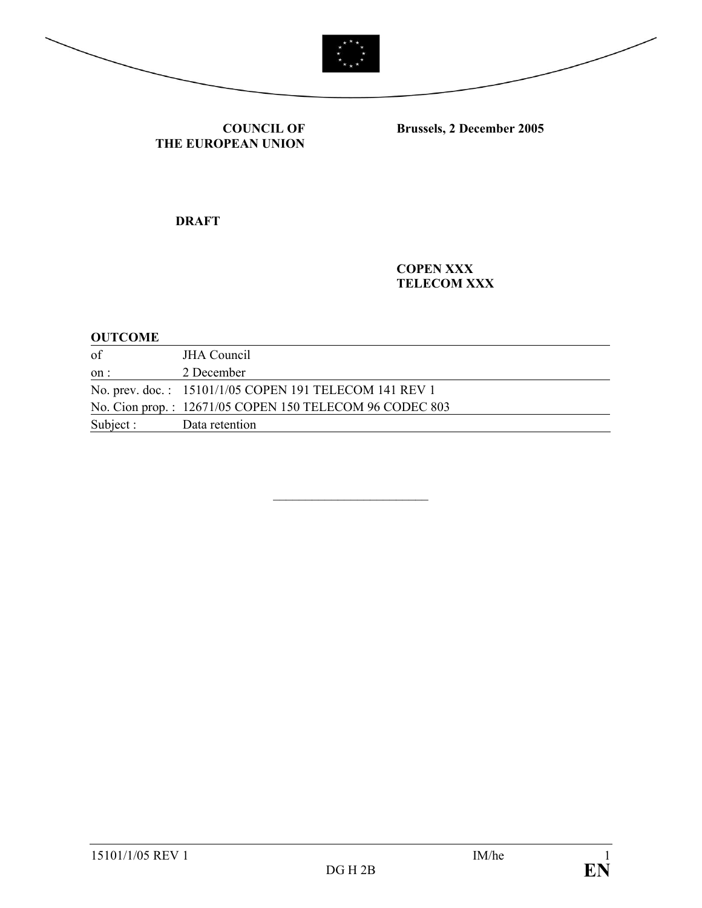



**COUNCIL OF THE EUROPEAN UNION**

**Brussels, 2 December 2005** 

**DRAFT** 

**COPEN XXX TELECOM XXX** 

#### **OUTCOME**

| of                       | <b>JHA</b> Council                                      |
|--------------------------|---------------------------------------------------------|
| on:                      | 2 December                                              |
|                          | No. prev. doc.: 15101/1/05 COPEN 191 TELECOM 141 REV 1  |
|                          | No. Cion prop.: 12671/05 COPEN 150 TELECOM 96 CODEC 803 |
| Subject : Data retention |                                                         |

 $\mathcal{L}_\text{max}$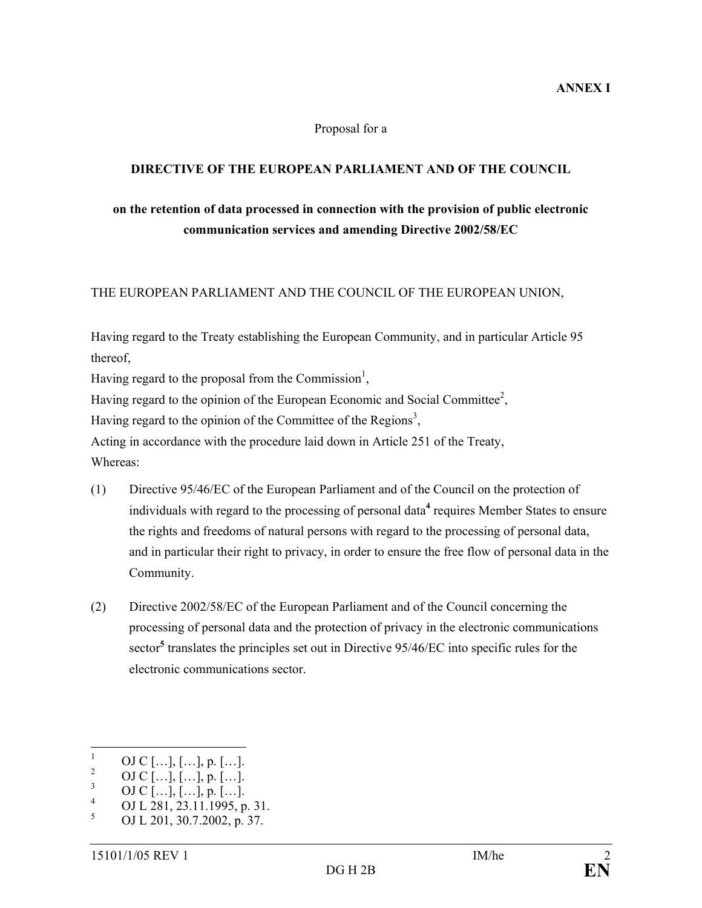#### Proposal for a

#### **DIRECTIVE OF THE EUROPEAN PARLIAMENT AND OF THE COUNCIL**

# **on the retention of data processed in connection with the provision of public electronic communication services and amending Directive 2002/58/EC**

#### THE EUROPEAN PARLIAMENT AND THE COUNCIL OF THE EUROPEAN UNION,

Having regard to the Treaty establishing the European Community, and in particular Article 95 thereof,

Having regard to the proposal from the Commission<sup>1</sup>,

Having regard to the opinion of the European Economic and Social Committee<sup>2</sup>,

Having regard to the opinion of the Committee of the Regions<sup>3</sup>,

Acting in accordance with the procedure laid down in Article 251 of the Treaty, Whereas:

- (1) Directive 95/46/EC of the European Parliament and of the Council on the protection of individuals with regard to the processing of personal data<sup>4</sup> requires Member States to ensure the rights and freedoms of natural persons with regard to the processing of personal data, and in particular their right to privacy, in order to ensure the free flow of personal data in the Community.
- (2) Directive 2002/58/EC of the European Parliament and of the Council concerning the processing of personal data and the protection of privacy in the electronic communications sector<sup>5</sup> translates the principles set out in Directive 95/46/EC into specific rules for the electronic communications sector.

 $\frac{1}{1}$ OJ C  $[...]$ ,  $[...]$ , p.  $[...]$ . 2

OJ C  $[...]$ ,  $[...]$ , p.  $[...]$ .

<sup>3</sup> OJ C […], […], p. […].

<sup>4</sup> OJ L 281, 23.11.1995, p. 31.

<sup>5</sup> OJ L 201, 30.7.2002, p. 37.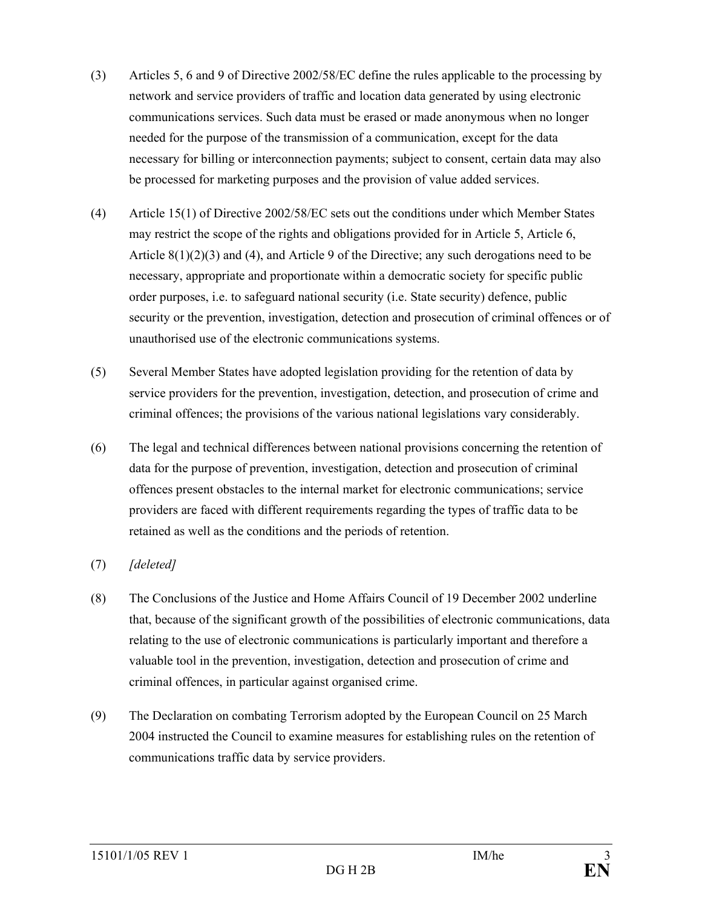- (3) Articles 5, 6 and 9 of Directive 2002/58/EC define the rules applicable to the processing by network and service providers of traffic and location data generated by using electronic communications services. Such data must be erased or made anonymous when no longer needed for the purpose of the transmission of a communication, except for the data necessary for billing or interconnection payments; subject to consent, certain data may also be processed for marketing purposes and the provision of value added services.
- (4) Article 15(1) of Directive 2002/58/EC sets out the conditions under which Member States may restrict the scope of the rights and obligations provided for in Article 5, Article 6, Article  $8(1)(2)(3)$  and  $(4)$ , and Article 9 of the Directive; any such derogations need to be necessary, appropriate and proportionate within a democratic society for specific public order purposes, i.e. to safeguard national security (i.e. State security) defence, public security or the prevention, investigation, detection and prosecution of criminal offences or of unauthorised use of the electronic communications systems.
- (5) Several Member States have adopted legislation providing for the retention of data by service providers for the prevention, investigation, detection, and prosecution of crime and criminal offences; the provisions of the various national legislations vary considerably.
- (6) The legal and technical differences between national provisions concerning the retention of data for the purpose of prevention, investigation, detection and prosecution of criminal offences present obstacles to the internal market for electronic communications; service providers are faced with different requirements regarding the types of traffic data to be retained as well as the conditions and the periods of retention.
- (7) *[deleted]*
- (8) The Conclusions of the Justice and Home Affairs Council of 19 December 2002 underline that, because of the significant growth of the possibilities of electronic communications, data relating to the use of electronic communications is particularly important and therefore a valuable tool in the prevention, investigation, detection and prosecution of crime and criminal offences, in particular against organised crime.
- (9) The Declaration on combating Terrorism adopted by the European Council on 25 March 2004 instructed the Council to examine measures for establishing rules on the retention of communications traffic data by service providers.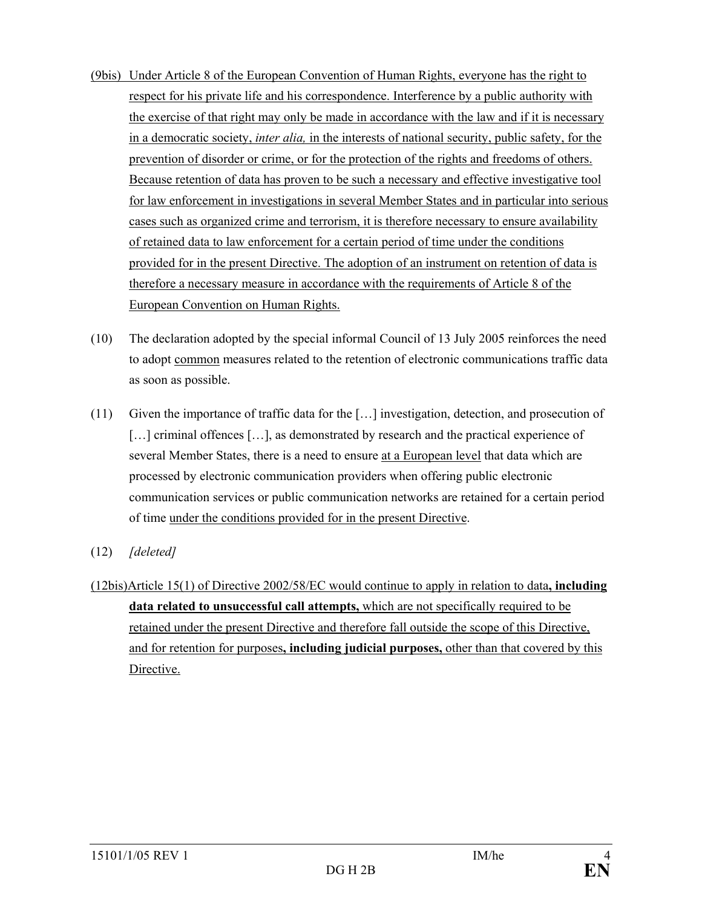- (9bis) Under Article 8 of the European Convention of Human Rights, everyone has the right to respect for his private life and his correspondence. Interference by a public authority with the exercise of that right may only be made in accordance with the law and if it is necessary in a democratic society, *inter alia,* in the interests of national security, public safety, for the prevention of disorder or crime, or for the protection of the rights and freedoms of others. Because retention of data has proven to be such a necessary and effective investigative tool for law enforcement in investigations in several Member States and in particular into serious cases such as organized crime and terrorism, it is therefore necessary to ensure availability of retained data to law enforcement for a certain period of time under the conditions provided for in the present Directive. The adoption of an instrument on retention of data is therefore a necessary measure in accordance with the requirements of Article 8 of the European Convention on Human Rights.
- (10) The declaration adopted by the special informal Council of 13 July 2005 reinforces the need to adopt common measures related to the retention of electronic communications traffic data as soon as possible.
- (11) Given the importance of traffic data for the […] investigation, detection, and prosecution of [...] criminal offences [...], as demonstrated by research and the practical experience of several Member States, there is a need to ensure at a European level that data which are processed by electronic communication providers when offering public electronic communication services or public communication networks are retained for a certain period of time under the conditions provided for in the present Directive.
- (12) *[deleted]*
- (12bis)Article 15(1) of Directive 2002/58/EC would continue to apply in relation to data**, including data related to unsuccessful call attempts,** which are not specifically required to be retained under the present Directive and therefore fall outside the scope of this Directive, and for retention for purposes**, including judicial purposes,** other than that covered by this Directive.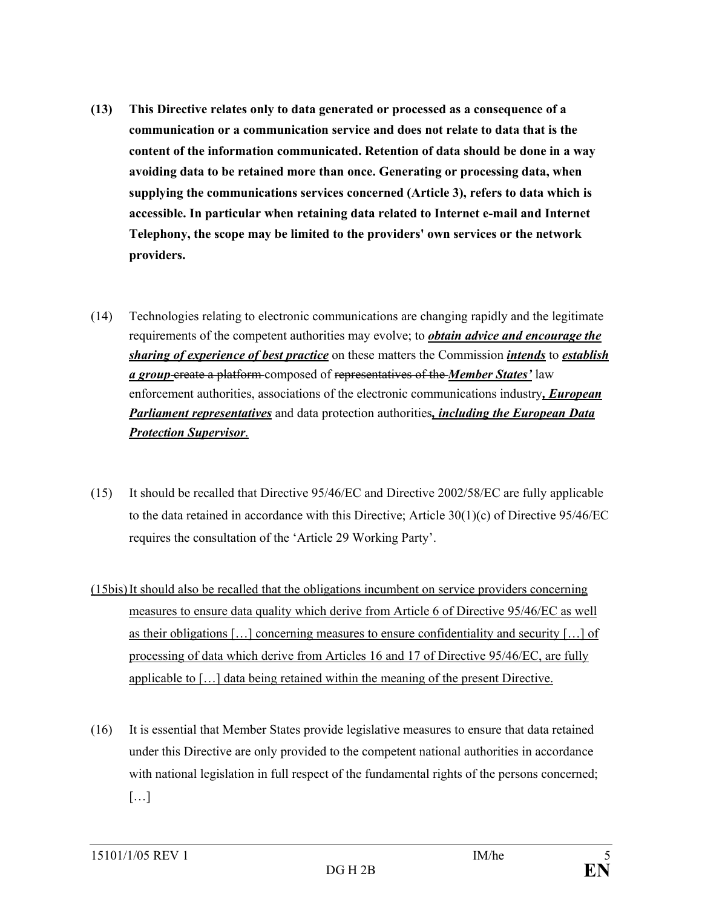- **(13) This Directive relates only to data generated or processed as a consequence of a communication or a communication service and does not relate to data that is the content of the information communicated. Retention of data should be done in a way avoiding data to be retained more than once. Generating or processing data, when supplying the communications services concerned (Article 3), refers to data which is accessible. In particular when retaining data related to Internet e-mail and Internet Telephony, the scope may be limited to the providers' own services or the network providers.**
- (14) Technologies relating to electronic communications are changing rapidly and the legitimate requirements of the competent authorities may evolve; to *obtain advice and encourage the sharing of experience of best practice* on these matters the Commission *intends* to *establish a group* create a platform composed of representatives of the *Member States'* law enforcement authorities, associations of the electronic communications industry*, European Parliament representatives* and data protection authorities*, including the European Data Protection Supervisor*.
- (15) It should be recalled that Directive 95/46/EC and Directive 2002/58/EC are fully applicable to the data retained in accordance with this Directive; Article  $30(1)(c)$  of Directive  $95/46/EC$ requires the consultation of the 'Article 29 Working Party'.
- (15bis) It should also be recalled that the obligations incumbent on service providers concerning measures to ensure data quality which derive from Article 6 of Directive 95/46/EC as well as their obligations […] concerning measures to ensure confidentiality and security […] of processing of data which derive from Articles 16 and 17 of Directive 95/46/EC, are fully applicable to […] data being retained within the meaning of the present Directive.
- (16) It is essential that Member States provide legislative measures to ensure that data retained under this Directive are only provided to the competent national authorities in accordance with national legislation in full respect of the fundamental rights of the persons concerned;  $[\ldots]$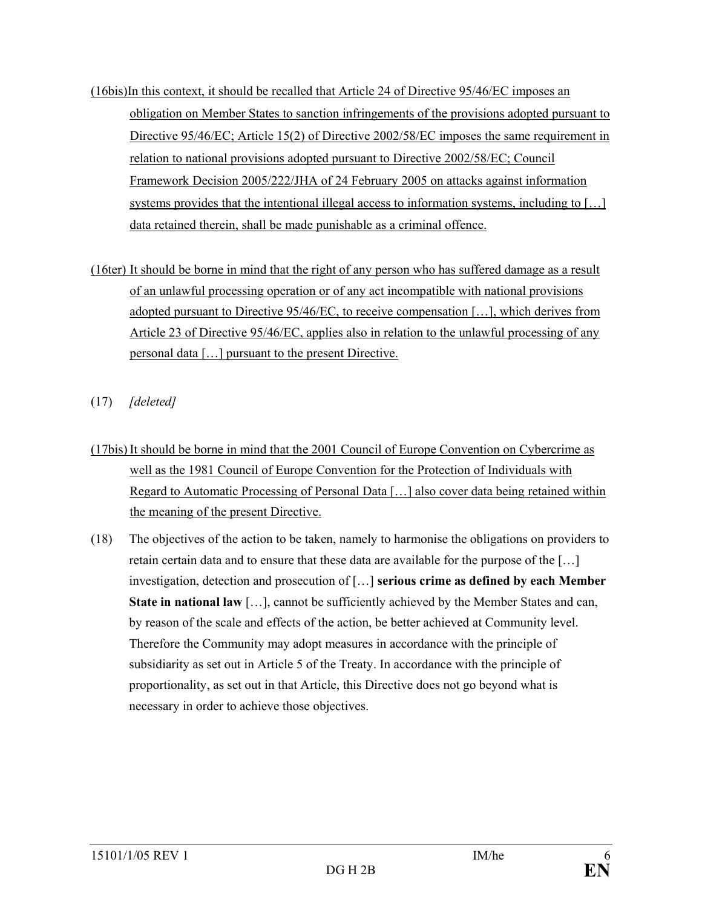- (16bis)In this context, it should be recalled that Article 24 of Directive 95/46/EC imposes an obligation on Member States to sanction infringements of the provisions adopted pursuant to Directive 95/46/EC; Article 15(2) of Directive 2002/58/EC imposes the same requirement in relation to national provisions adopted pursuant to Directive 2002/58/EC; Council Framework Decision 2005/222/JHA of 24 February 2005 on attacks against information systems provides that the intentional illegal access to information systems, including to [...] data retained therein, shall be made punishable as a criminal offence.
- (16ter) It should be borne in mind that the right of any person who has suffered damage as a result of an unlawful processing operation or of any act incompatible with national provisions adopted pursuant to Directive 95/46/EC, to receive compensation [...], which derives from Article 23 of Directive 95/46/EC, applies also in relation to the unlawful processing of any personal data […] pursuant to the present Directive.
- (17) *[deleted]*
- (17bis) It should be borne in mind that the 2001 Council of Europe Convention on Cybercrime as well as the 1981 Council of Europe Convention for the Protection of Individuals with Regard to Automatic Processing of Personal Data […] also cover data being retained within the meaning of the present Directive.
- (18) The objectives of the action to be taken, namely to harmonise the obligations on providers to retain certain data and to ensure that these data are available for the purpose of the […] investigation, detection and prosecution of […] **serious crime as defined by each Member State in national law** [...], cannot be sufficiently achieved by the Member States and can, by reason of the scale and effects of the action, be better achieved at Community level. Therefore the Community may adopt measures in accordance with the principle of subsidiarity as set out in Article 5 of the Treaty. In accordance with the principle of proportionality, as set out in that Article, this Directive does not go beyond what is necessary in order to achieve those objectives.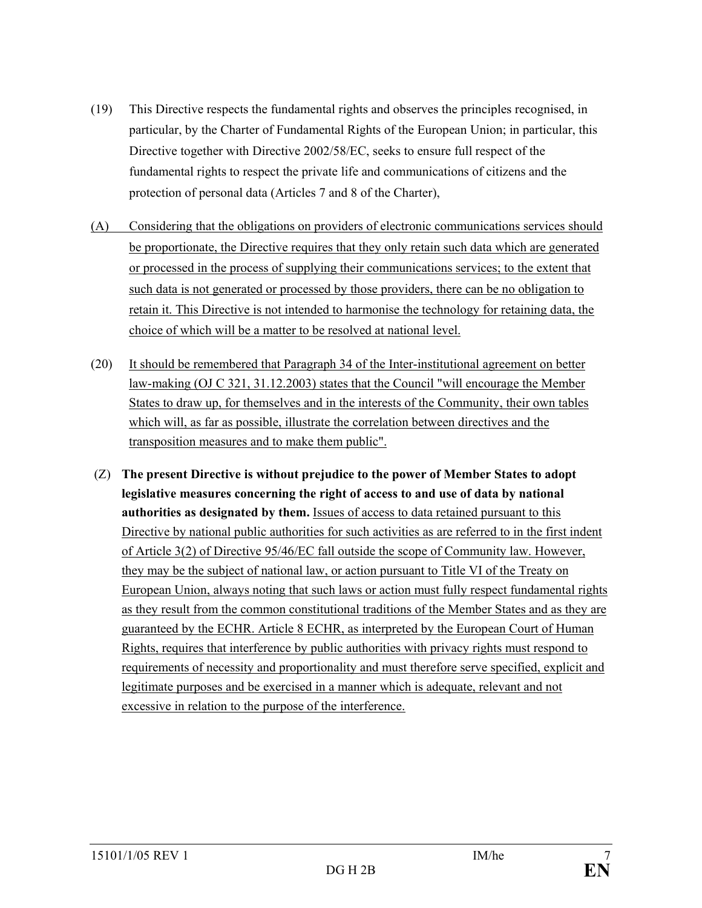- (19) This Directive respects the fundamental rights and observes the principles recognised, in particular, by the Charter of Fundamental Rights of the European Union; in particular, this Directive together with Directive 2002/58/EC, seeks to ensure full respect of the fundamental rights to respect the private life and communications of citizens and the protection of personal data (Articles 7 and 8 of the Charter),
- (A) Considering that the obligations on providers of electronic communications services should be proportionate, the Directive requires that they only retain such data which are generated or processed in the process of supplying their communications services; to the extent that such data is not generated or processed by those providers, there can be no obligation to retain it. This Directive is not intended to harmonise the technology for retaining data, the choice of which will be a matter to be resolved at national level.
- (20) It should be remembered that Paragraph 34 of the Inter-institutional agreement on better law-making (OJ C 321, 31.12.2003) states that the Council "will encourage the Member States to draw up, for themselves and in the interests of the Community, their own tables which will, as far as possible, illustrate the correlation between directives and the transposition measures and to make them public".
- (Z) **The present Directive is without prejudice to the power of Member States to adopt legislative measures concerning the right of access to and use of data by national authorities as designated by them.** Issues of access to data retained pursuant to this Directive by national public authorities for such activities as are referred to in the first indent of Article 3(2) of Directive 95/46/EC fall outside the scope of Community law. However, they may be the subject of national law, or action pursuant to Title VI of the Treaty on European Union, always noting that such laws or action must fully respect fundamental rights as they result from the common constitutional traditions of the Member States and as they are guaranteed by the ECHR. Article 8 ECHR, as interpreted by the European Court of Human Rights, requires that interference by public authorities with privacy rights must respond to requirements of necessity and proportionality and must therefore serve specified, explicit and legitimate purposes and be exercised in a manner which is adequate, relevant and not excessive in relation to the purpose of the interference.

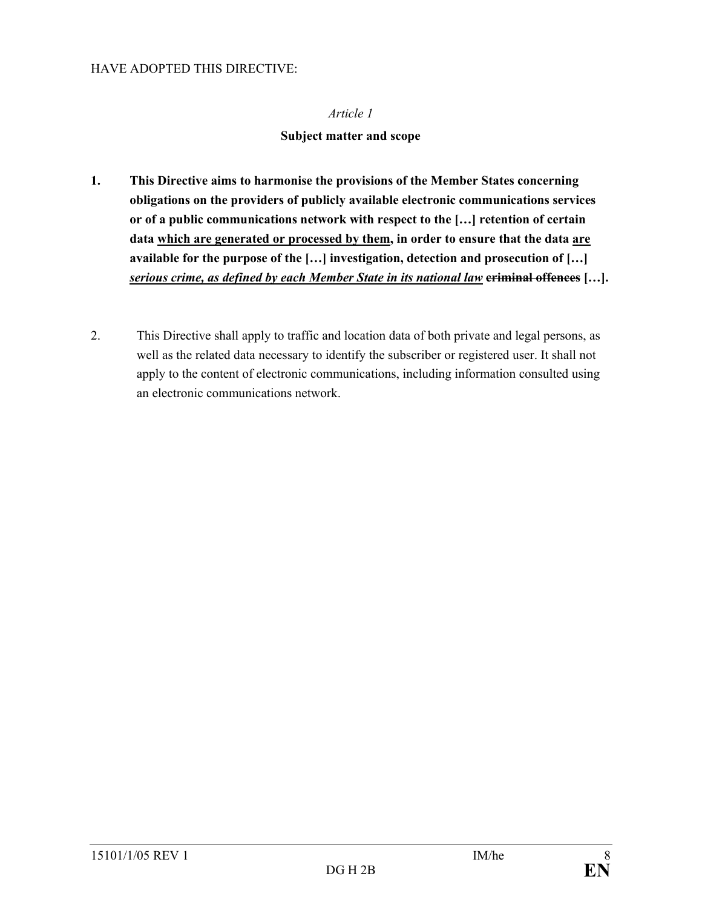#### **Subject matter and scope**

- **1. This Directive aims to harmonise the provisions of the Member States concerning obligations on the providers of publicly available electronic communications services or of a public communications network with respect to the […] retention of certain data which are generated or processed by them, in order to ensure that the data are available for the purpose of the […] investigation, detection and prosecution of […]**  *serious crime, as defined by each Member State in its national law* **criminal offences […].**
- 2. This Directive shall apply to traffic and location data of both private and legal persons, as well as the related data necessary to identify the subscriber or registered user. It shall not apply to the content of electronic communications, including information consulted using an electronic communications network.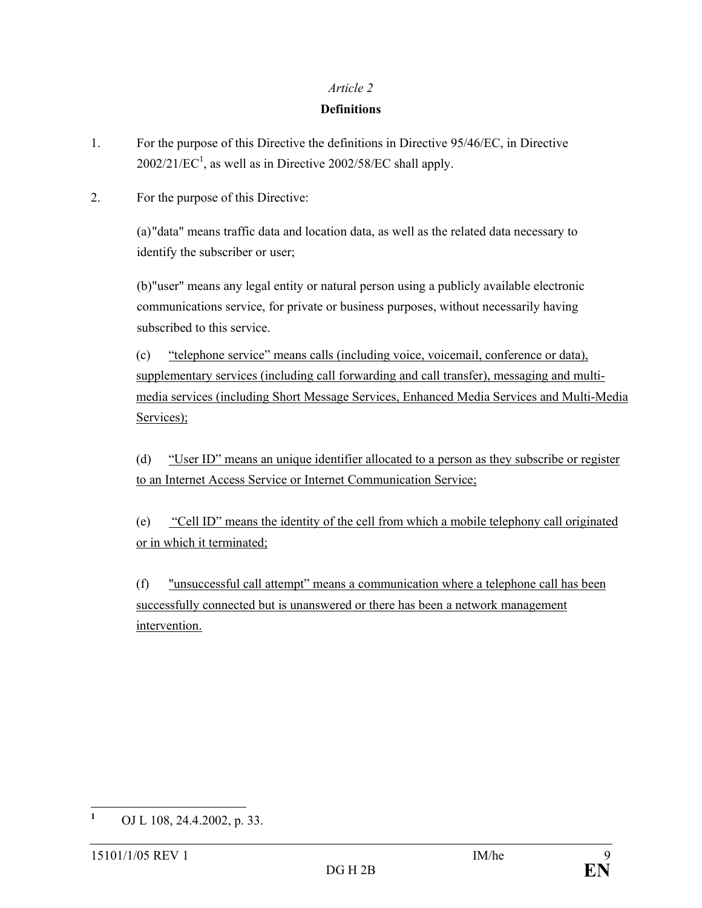#### **Definitions**

- 1. For the purpose of this Directive the definitions in Directive 95/46/EC, in Directive  $2002/21/EC<sup>1</sup>$ , as well as in Directive  $2002/58/EC$  shall apply.
- 2. For the purpose of this Directive:

(a) "data" means traffic data and location data, as well as the related data necessary to identify the subscriber or user;

(b) "user" means any legal entity or natural person using a publicly available electronic communications service, for private or business purposes, without necessarily having subscribed to this service.

(c) "telephone service" means calls (including voice, voicemail, conference or data), supplementary services (including call forwarding and call transfer), messaging and multimedia services (including Short Message Services, Enhanced Media Services and Multi-Media Services);

(d) "User ID" means an unique identifier allocated to a person as they subscribe or register to an Internet Access Service or Internet Communication Service;

(e) "Cell ID" means the identity of the cell from which a mobile telephony call originated or in which it terminated;

(f) "unsuccessful call attempt" means a communication where a telephone call has been successfully connected but is unanswered or there has been a network management intervention.

 **1** OJ L 108, 24.4.2002, p. 33.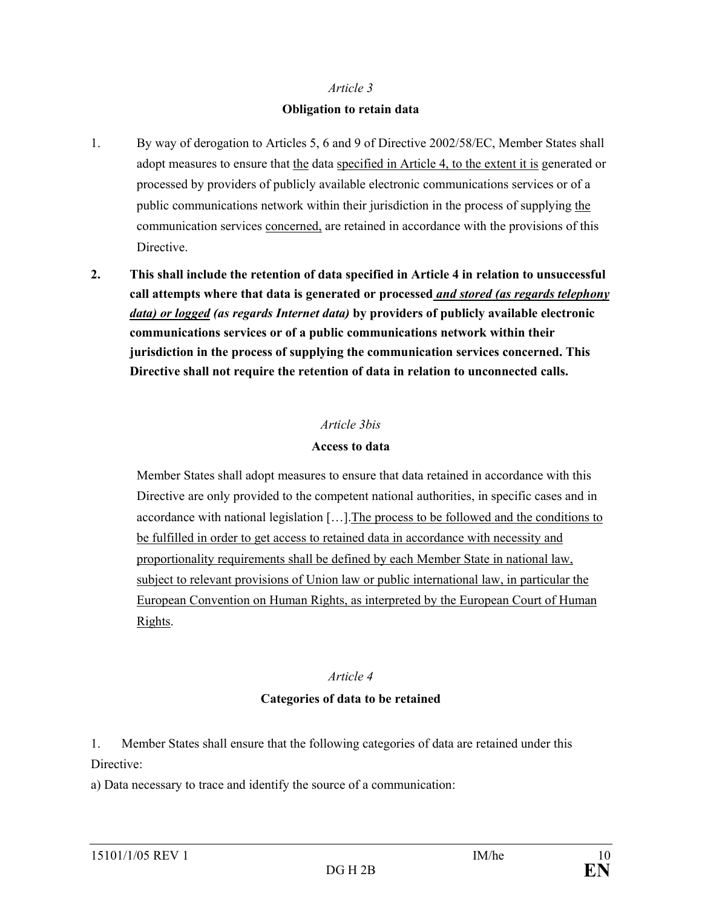#### **Obligation to retain data**

- 1. By way of derogation to Articles 5, 6 and 9 of Directive 2002/58/EC, Member States shall adopt measures to ensure that the data specified in Article 4, to the extent it is generated or processed by providers of publicly available electronic communications services or of a public communications network within their jurisdiction in the process of supplying the communication services concerned, are retained in accordance with the provisions of this Directive.
- **2. This shall include the retention of data specified in Article 4 in relation to unsuccessful call attempts where that data is generated or processed** *and stored (as regards telephony data) or logged (as regards Internet data)* **by providers of publicly available electronic communications services or of a public communications network within their jurisdiction in the process of supplying the communication services concerned. This Directive shall not require the retention of data in relation to unconnected calls.**

#### *Article 3bis*

#### **Access to data**

 Member States shall adopt measures to ensure that data retained in accordance with this Directive are only provided to the competent national authorities, in specific cases and in accordance with national legislation […].The process to be followed and the conditions to be fulfilled in order to get access to retained data in accordance with necessity and proportionality requirements shall be defined by each Member State in national law, subject to relevant provisions of Union law or public international law, in particular the European Convention on Human Rights, as interpreted by the European Court of Human Rights.

# *Article 4*

# **Categories of data to be retained**

1. Member States shall ensure that the following categories of data are retained under this Directive:

a) Data necessary to trace and identify the source of a communication: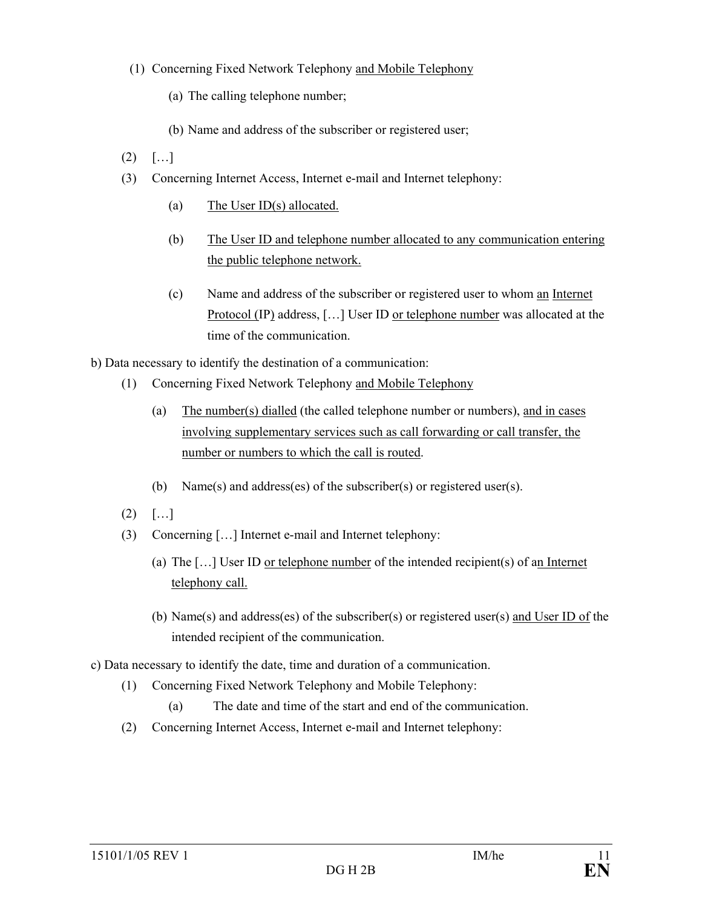### (1) Concerning Fixed Network Telephony and Mobile Telephony

- (a) The calling telephone number;
- (b) Name and address of the subscriber or registered user;
- $(2)$   $[...]$
- (3) Concerning Internet Access, Internet e-mail and Internet telephony:
	- (a) The User ID(s) allocated.
	- (b) The User ID and telephone number allocated to any communication entering the public telephone network.
	- (c) Name and address of the subscriber or registered user to whom an Internet Protocol (IP) address, [...] User ID or telephone number was allocated at the time of the communication.
- b) Data necessary to identify the destination of a communication:
	- (1) Concerning Fixed Network Telephony and Mobile Telephony
		- (a) The number(s) dialled (the called telephone number or numbers), and in cases involving supplementary services such as call forwarding or call transfer, the number or numbers to which the call is routed.
		- (b) Name(s) and address(es) of the subscriber(s) or registered user(s).
	- $(2)$   $[...]$
	- (3) Concerning […] Internet e-mail and Internet telephony:
		- (a) The […] User ID or telephone number of the intended recipient(s) of an Internet telephony call.
		- (b) Name(s) and address(es) of the subscriber(s) or registered user(s) and User ID of the intended recipient of the communication.
- c) Data necessary to identify the date, time and duration of a communication.
	- (1) Concerning Fixed Network Telephony and Mobile Telephony:
		- (a) The date and time of the start and end of the communication.
	- (2) Concerning Internet Access, Internet e-mail and Internet telephony: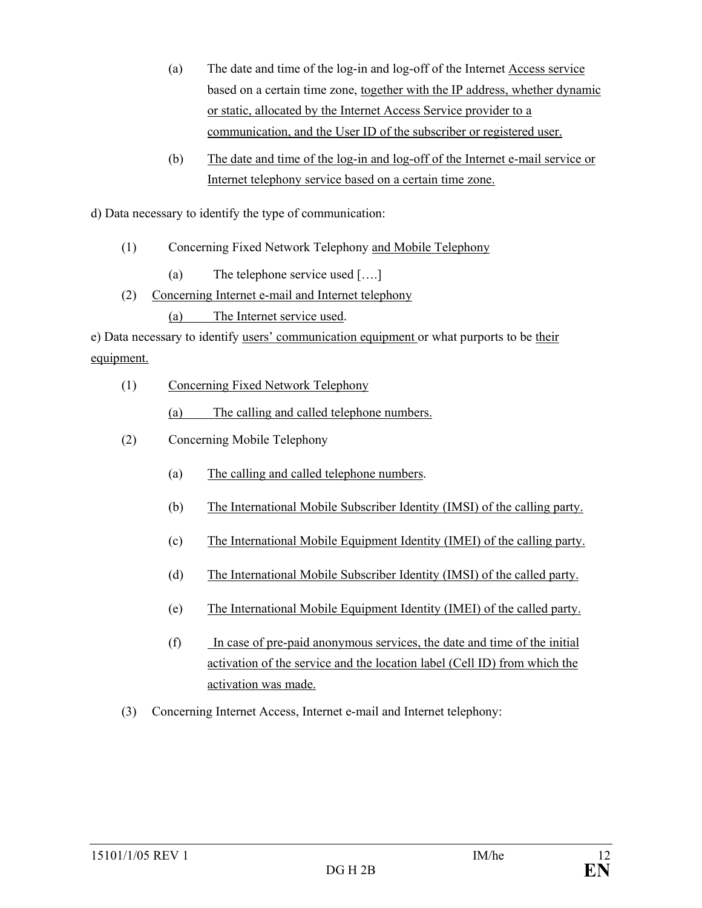- (a) The date and time of the log-in and log-off of the Internet Access service based on a certain time zone, together with the IP address, whether dynamic or static, allocated by the Internet Access Service provider to a communication, and the User ID of the subscriber or registered user.
- (b) The date and time of the log-in and log-off of the Internet e-mail service or Internet telephony service based on a certain time zone.

d) Data necessary to identify the type of communication:

- (1) Concerning Fixed Network Telephony and Mobile Telephony
	- (a) The telephone service used [….]
- (2) Concerning Internet e-mail and Internet telephony
	- (a) The Internet service used.

e) Data necessary to identify users' communication equipment or what purports to be their equipment.

(1) Concerning Fixed Network Telephony

(a) The calling and called telephone numbers.

- (2) Concerning Mobile Telephony
	- (a) The calling and called telephone numbers.
	- (b) The International Mobile Subscriber Identity (IMSI) of the calling party.
	- (c) The International Mobile Equipment Identity (IMEI) of the calling party.
	- (d) The International Mobile Subscriber Identity (IMSI) of the called party.
	- (e) The International Mobile Equipment Identity (IMEI) of the called party.
	- (f) In case of pre-paid anonymous services, the date and time of the initial activation of the service and the location label (Cell ID) from which the activation was made.
- (3) Concerning Internet Access, Internet e-mail and Internet telephony: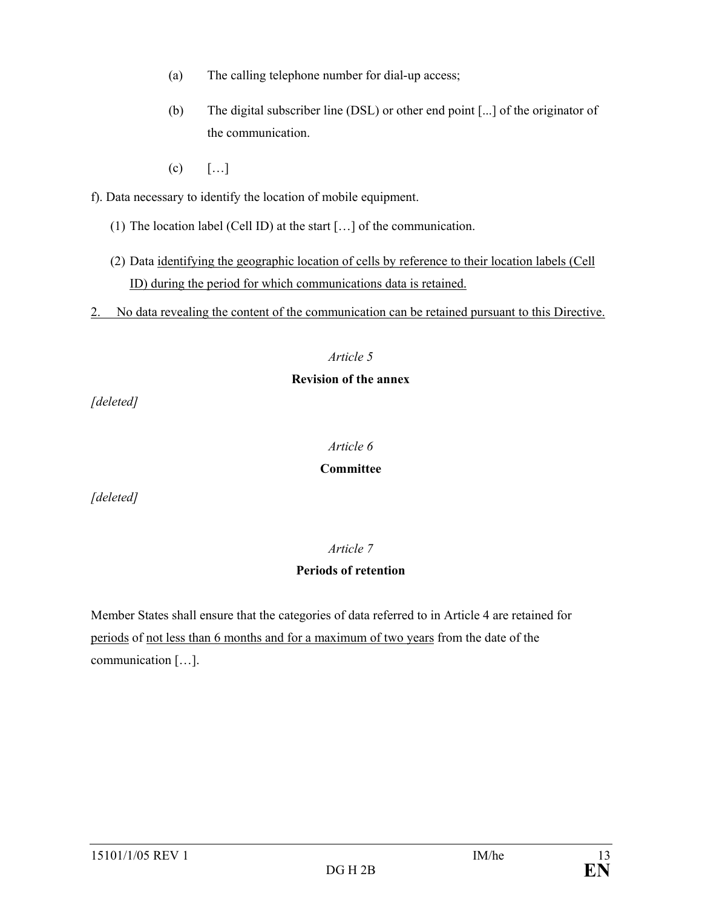- (a) The calling telephone number for dial-up access;
- (b) The digital subscriber line (DSL) or other end point [...] of the originator of the communication.
- $(c)$  [...]

f). Data necessary to identify the location of mobile equipment.

- (1) The location label (Cell ID) at the start […] of the communication.
- (2) Data identifying the geographic location of cells by reference to their location labels (Cell ID) during the period for which communications data is retained.
- 2. No data revealing the content of the communication can be retained pursuant to this Directive.

#### *Article 5*

#### **Revision of the annex**

*[deleted]* 

#### *Article 6*

#### **Committee**

*[deleted]* 

# *Article 7*

# **Periods of retention**

Member States shall ensure that the categories of data referred to in Article 4 are retained for periods of not less than 6 months and for a maximum of two years from the date of the communication […].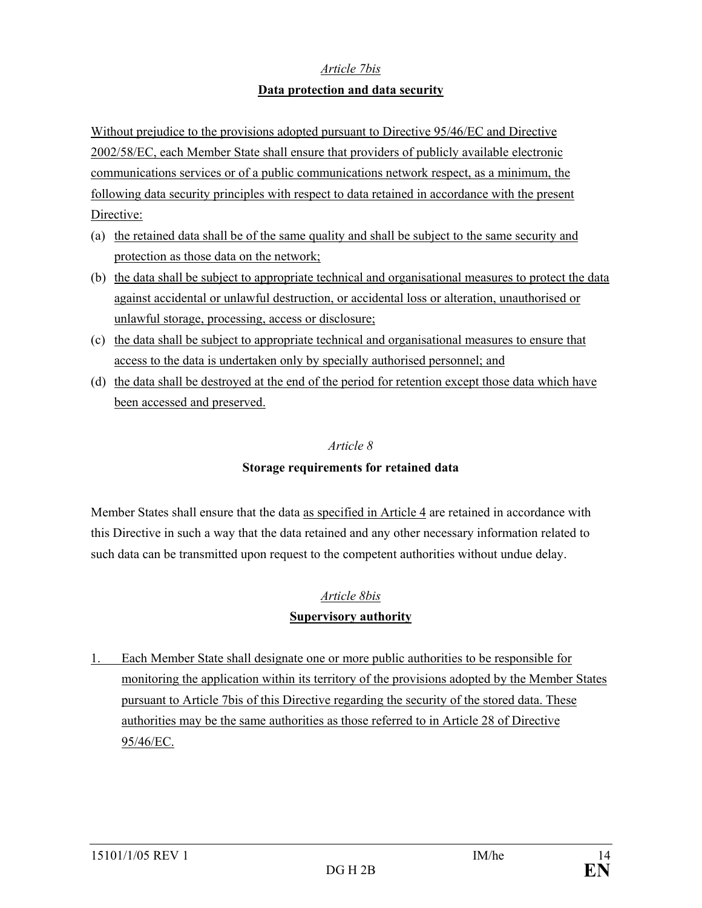#### *Article 7bis*

#### **Data protection and data security**

Without prejudice to the provisions adopted pursuant to Directive 95/46/EC and Directive 2002/58/EC, each Member State shall ensure that providers of publicly available electronic communications services or of a public communications network respect, as a minimum, the following data security principles with respect to data retained in accordance with the present Directive:

- (a) the retained data shall be of the same quality and shall be subject to the same security and protection as those data on the network;
- (b) the data shall be subject to appropriate technical and organisational measures to protect the data against accidental or unlawful destruction, or accidental loss or alteration, unauthorised or unlawful storage, processing, access or disclosure;
- (c) the data shall be subject to appropriate technical and organisational measures to ensure that access to the data is undertaken only by specially authorised personnel; and
- (d) the data shall be destroyed at the end of the period for retention except those data which have been accessed and preserved.

#### *Article 8*

# **Storage requirements for retained data**

Member States shall ensure that the data as specified in Article 4 are retained in accordance with this Directive in such a way that the data retained and any other necessary information related to such data can be transmitted upon request to the competent authorities without undue delay.

# *Article 8bis*

# **Supervisory authority**

1. Each Member State shall designate one or more public authorities to be responsible for monitoring the application within its territory of the provisions adopted by the Member States pursuant to Article 7bis of this Directive regarding the security of the stored data. These authorities may be the same authorities as those referred to in Article 28 of Directive 95/46/EC.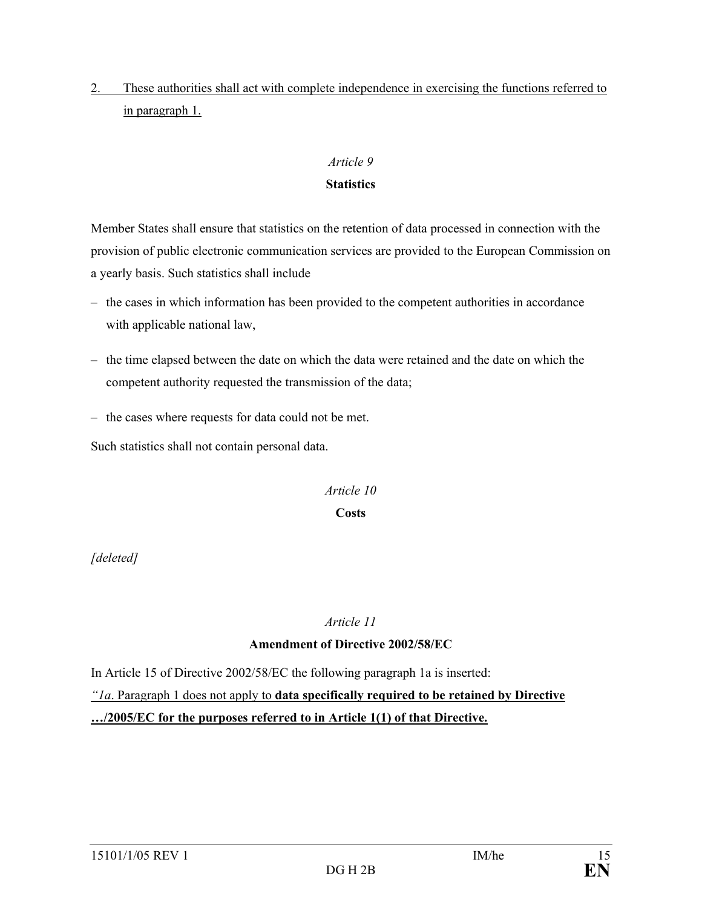2. These authorities shall act with complete independence in exercising the functions referred to in paragraph 1.

#### *Article 9*

#### **Statistics**

Member States shall ensure that statistics on the retention of data processed in connection with the provision of public electronic communication services are provided to the European Commission on a yearly basis. Such statistics shall include

- the cases in which information has been provided to the competent authorities in accordance with applicable national law,
- the time elapsed between the date on which the data were retained and the date on which the competent authority requested the transmission of the data;
- the cases where requests for data could not be met.

Such statistics shall not contain personal data.

# *Article 10*

# **Costs**

*[deleted]* 

*Article 11* 

# **Amendment of Directive 2002/58/EC**

In Article 15 of Directive 2002/58/EC the following paragraph 1a is inserted:

# *"1a*. Paragraph 1 does not apply to **data specifically required to be retained by Directive …/2005/EC for the purposes referred to in Article 1(1) of that Directive.**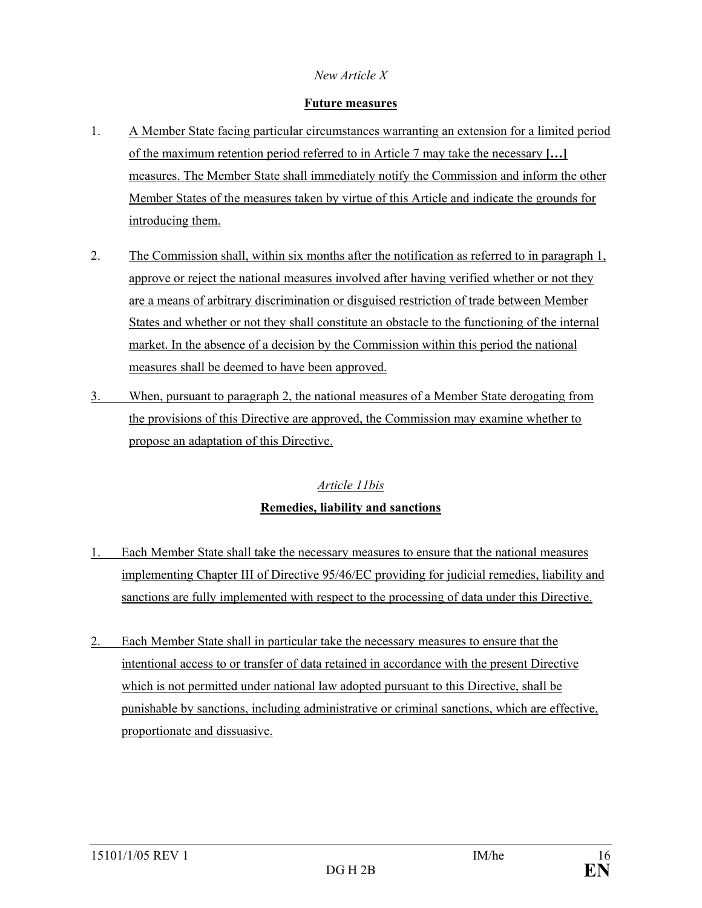### *New Article X*

#### **Future measures**

- 1. A Member State facing particular circumstances warranting an extension for a limited period of the maximum retention period referred to in Article 7 may take the necessary **[…]**  measures. The Member State shall immediately notify the Commission and inform the other Member States of the measures taken by virtue of this Article and indicate the grounds for introducing them.
- 2. The Commission shall, within six months after the notification as referred to in paragraph 1, approve or reject the national measures involved after having verified whether or not they are a means of arbitrary discrimination or disguised restriction of trade between Member States and whether or not they shall constitute an obstacle to the functioning of the internal market. In the absence of a decision by the Commission within this period the national measures shall be deemed to have been approved.
- 3. When, pursuant to paragraph 2, the national measures of a Member State derogating from the provisions of this Directive are approved, the Commission may examine whether to propose an adaptation of this Directive.

# *Article 11bis* **Remedies, liability and sanctions**

- 1. Each Member State shall take the necessary measures to ensure that the national measures implementing Chapter III of Directive 95/46/EC providing for judicial remedies, liability and sanctions are fully implemented with respect to the processing of data under this Directive.
- 2. Each Member State shall in particular take the necessary measures to ensure that the intentional access to or transfer of data retained in accordance with the present Directive which is not permitted under national law adopted pursuant to this Directive, shall be punishable by sanctions, including administrative or criminal sanctions, which are effective, proportionate and dissuasive.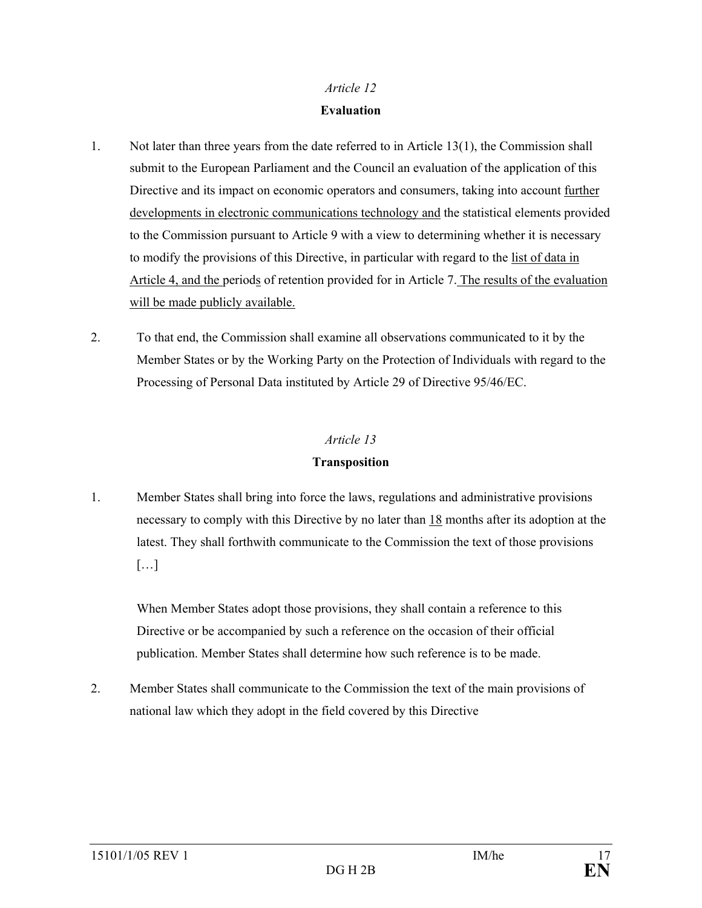#### **Evaluation**

- 1. Not later than three years from the date referred to in Article 13(1), the Commission shall submit to the European Parliament and the Council an evaluation of the application of this Directive and its impact on economic operators and consumers, taking into account further developments in electronic communications technology and the statistical elements provided to the Commission pursuant to Article 9 with a view to determining whether it is necessary to modify the provisions of this Directive, in particular with regard to the list of data in Article 4, and the periods of retention provided for in Article 7. The results of the evaluation will be made publicly available.
- 2. To that end, the Commission shall examine all observations communicated to it by the Member States or by the Working Party on the Protection of Individuals with regard to the Processing of Personal Data instituted by Article 29 of Directive 95/46/EC.

#### *Article 13*

### **Transposition**

1. Member States shall bring into force the laws, regulations and administrative provisions necessary to comply with this Directive by no later than 18 months after its adoption at the latest. They shall forthwith communicate to the Commission the text of those provisions  $[\ldots]$ 

When Member States adopt those provisions, they shall contain a reference to this Directive or be accompanied by such a reference on the occasion of their official publication. Member States shall determine how such reference is to be made.

2. Member States shall communicate to the Commission the text of the main provisions of national law which they adopt in the field covered by this Directive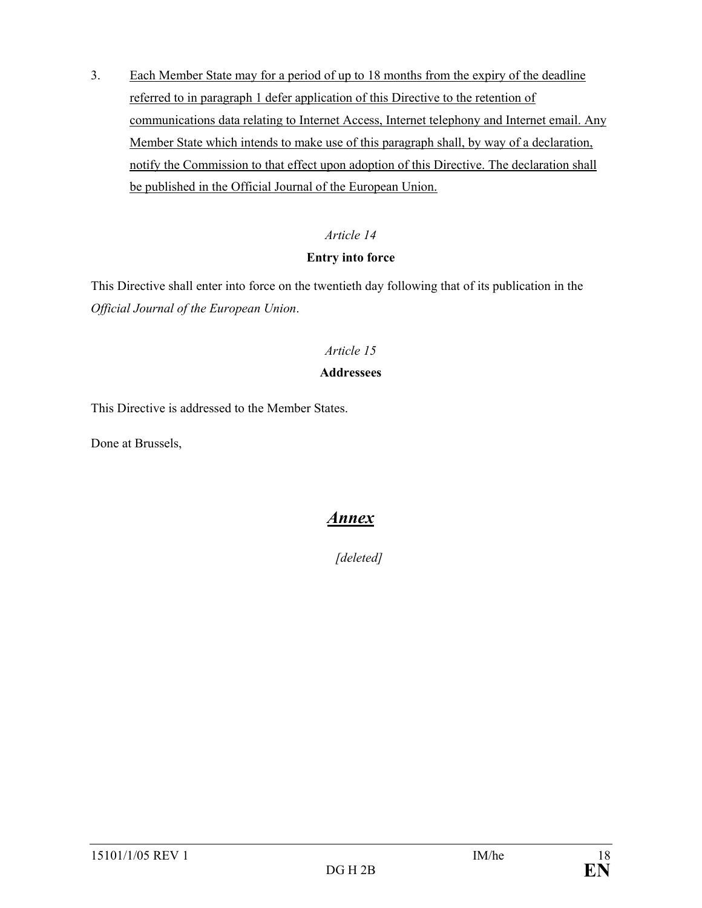3. Each Member State may for a period of up to 18 months from the expiry of the deadline referred to in paragraph 1 defer application of this Directive to the retention of communications data relating to Internet Access, Internet telephony and Internet email. Any Member State which intends to make use of this paragraph shall, by way of a declaration, notify the Commission to that effect upon adoption of this Directive. The declaration shall be published in the Official Journal of the European Union.

# *Article 14*

# **Entry into force**

This Directive shall enter into force on the twentieth day following that of its publication in the *Official Journal of the European Union*.

# *Article 15*

# **Addressees**

This Directive is addressed to the Member States.

Done at Brussels,

# *Annex*

*[deleted]*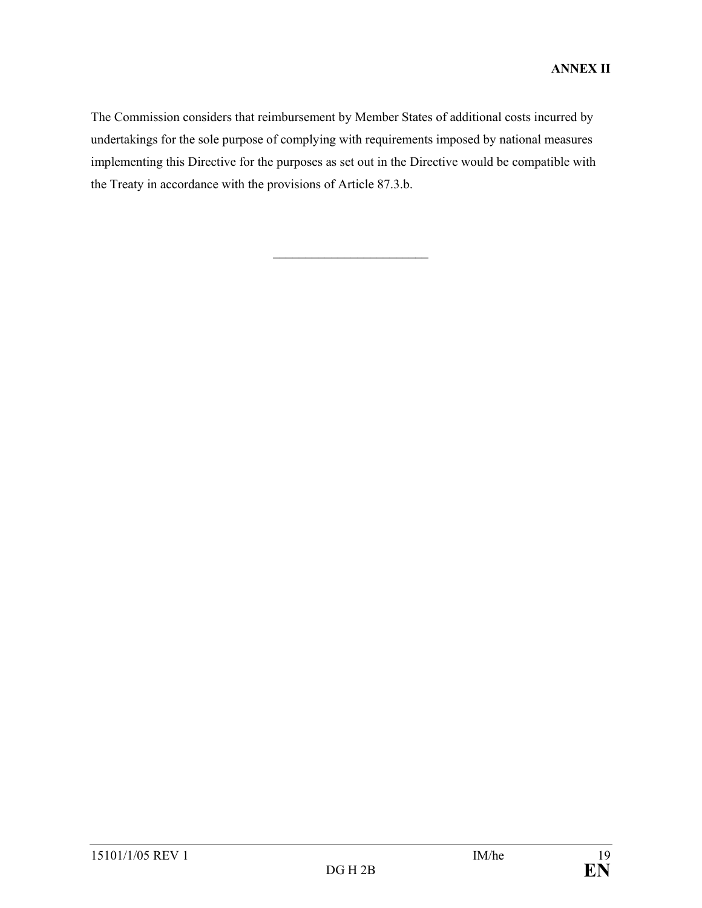The Commission considers that reimbursement by Member States of additional costs incurred by undertakings for the sole purpose of complying with requirements imposed by national measures implementing this Directive for the purposes as set out in the Directive would be compatible with the Treaty in accordance with the provisions of Article 87.3.b.

 $\frac{1}{2}$  ,  $\frac{1}{2}$  ,  $\frac{1}{2}$  ,  $\frac{1}{2}$  ,  $\frac{1}{2}$  ,  $\frac{1}{2}$  ,  $\frac{1}{2}$  ,  $\frac{1}{2}$  ,  $\frac{1}{2}$  ,  $\frac{1}{2}$  ,  $\frac{1}{2}$  ,  $\frac{1}{2}$  ,  $\frac{1}{2}$  ,  $\frac{1}{2}$  ,  $\frac{1}{2}$  ,  $\frac{1}{2}$  ,  $\frac{1}{2}$  ,  $\frac{1}{2}$  ,  $\frac{1$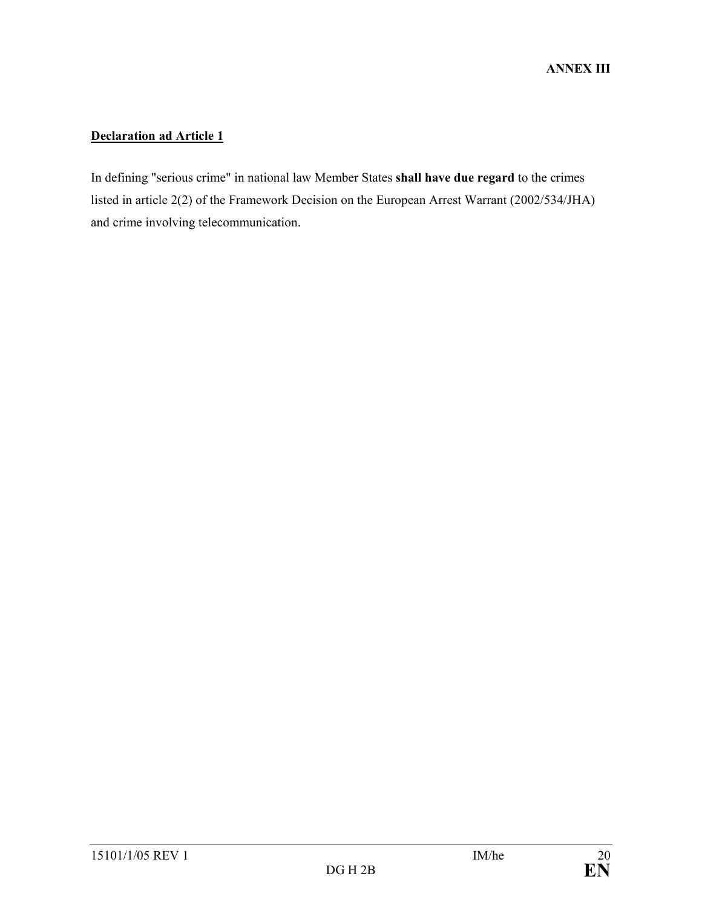# **Declaration ad Article 1**

In defining "serious crime" in national law Member States **shall have due regard** to the crimes listed in article 2(2) of the Framework Decision on the European Arrest Warrant (2002/534/JHA) and crime involving telecommunication.